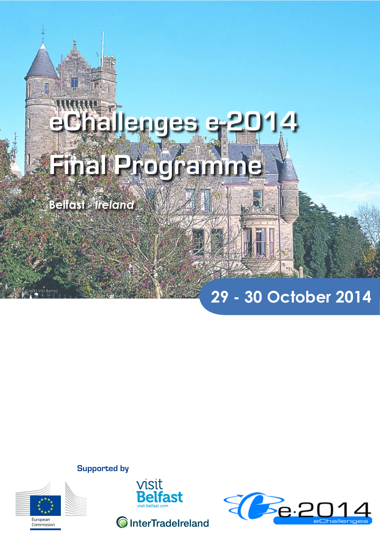# **eChallenges e-2014 Final Programme**

**Belfast** - *Ireland*

# **29 - 30 October 2014**

**Supported by**



 $\theta$ isit Belfast





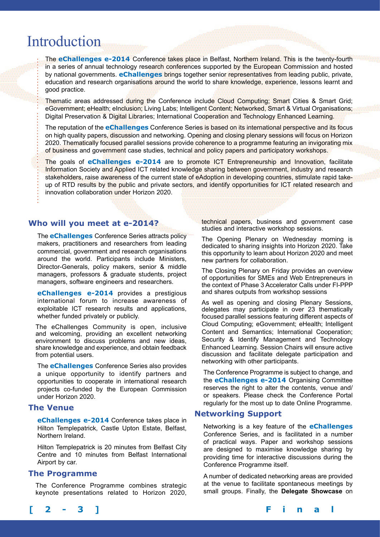## Introduction

The **eChallenges e-2014** Conference takes place in Belfast, Northern lreland. This is the twenty-fourth in a series of annual technology research conferences supported by the European Commission and hosted by national governments. **eChallenges** brings together senior representatives from leading public, private, education and research organisations around the world to share knowledge, experience, lessons learnt and good practice.

Thematic areas addressed during the Conference include Cloud Computing; Smart Cities & Smart Grid; eGovernment; eHealth; eInclusion; Living Labs; Intelligent Content; Networked, Smart & Virtual Organisations; Digital Preservation & Digital Libraries; International Cooperation and Technology Enhanced Learning.

The reputation of the **eChallenges** Conference Series is based on its international perspective and its focus on high quality papers, discussion and networking. Opening and closing plenary sessions will focus on Horizon 2020. Thematically focused parallel sessions provide coherence to a programme featuring an invigorating mix of business and government case studies, technical and policy papers and participatory workshops.

The goals of **eChallenges e-2014** are to promote ICT Entrepreneurship and Innovation, facilitate Information Society and Applied ICT related knowledge sharing between government, industry and research stakeholders, raise awareness of the current state of eAdoption in developing countries, stimulate rapid takeup of RTD results by the public and private sectors, and identify opportunities for ICT related research and innovation collaboration under Horizon 2020.

#### **Who will you meet at e-2014?**

The **eChallenges** Conference Series attracts policy makers, practitioners and researchers from leading commercial, government and research organisations around the world. Participants include Ministers, Director-Generals, policy makers, senior & middle managers, professors & graduate students, project managers, software engineers and researchers.

**eChallenges e-2014** provides a prestigious international forum to increase awareness of exploitable ICT research results and applications, whether funded privately or publicly.

The eChallenges Community is open, inclusive and welcoming, providing an excellent networking environment to discuss problems and new ideas, share knowledge and experience, and obtain feedback from potential users.

The **eChallenges** Conference Series also provides a unique opportunity to identify partners and opportunities to cooperate in international research projects co-funded by the European Commission under Horizon 2020.

#### **The Venue**

**eChallenges e-2014** Conference takes place in Hilton Templepatrick, Castle Upton Estate, Belfast, Northern Ireland.

Hilton Templepatrick is 20 minutes from Belfast City Centre and 10 minutes from Belfast International Airport by car.

#### **The Programme**

The Conference Programme combines strategic keynote presentations related to Horizon 2020, technical papers, business and government case studies and interactive workshop sessions.

The Opening Plenary on Wednesday morning is dedicated to sharing insights into Horizon 2020. Take this opportunity to learn about Horizon 2020 and meet new partners for collaboration.

The Closing Plenary on Friday provides an overview of opportunities for SMEs and Web Entrepreneurs in the context of Phase 3 Accelerator Calls under FI-PPP and shares outputs from workshop sessions

As well as opening and closing Plenary Sessions, delegates may participate in over 23 thematically focused parallel sessions featuring different aspects of Cloud Computing; eGovernment; eHealth; Intelligent Content and Semantics; International Cooperation; Security & Identify Management and Technology Enhanced Learning. Session Chairs will ensure active discussion and facilitate delegate participation and networking with other participants.

The Conference Programme is subject to change, and the **eChallenges e-2014** Organising Committee reserves the right to alter the contents, venue and/ or speakers. Please check the Conference Portal regularly for the most up to date Online Programme.

#### **Networking Support**

Networking is a key feature of the **eChallenges** Conference Series, and is facilitated in a number of practical ways. Paper and workshop sessions are designed to maximise knowledge sharing by providing time for interactive discussions during the Conference Programme itself.

A number of dedicated networking areas are provided at the venue to facilitate spontaneous meetings by small groups. Finally, the **Delegate Showcase** on

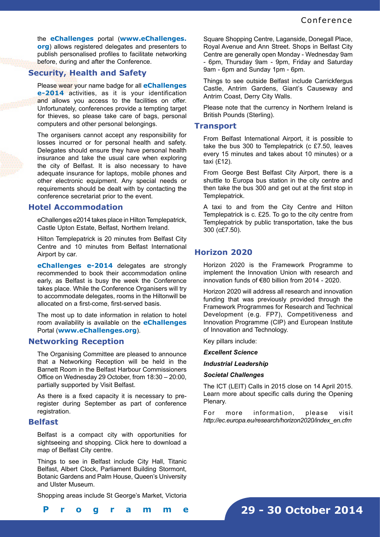the **eChallenges** portal (**www.eChallenges. org**) allows registered delegates and presenters to publish personalised profiles to facilitate networking before, during and after the Conference.

#### **Security, Health and Safety**

Please wear your name badge for all **eChallenges e-2014** activities, as it is your identification and allows you access to the facilities on offer. Unfortunately, conferences provide a tempting target for thieves, so please take care of bags, personal computers and other personal belongings.

The organisers cannot accept any responsibility for losses incurred or for personal health and safety. Delegates should ensure they have personal health insurance and take the usual care when exploring the city of Belfast. It is also necessary to have adequate insurance for laptops, mobile phones and other electronic equipment. Any special needs or requirements should be dealt with by contacting the conference secretariat prior to the event.

#### **Hotel Accommodation**

eChallenges e2014 takes place in Hilton Templepatrick, Castle Upton Estate, Belfast, Northern Ireland.

Hilton Templepatrick is 20 minutes from Belfast City Centre and 10 minutes from Belfast International Airport by car.

**eChallenges e-2014** delegates are strongly recommended to book their accommodation online early, as Belfast is busy the week the Conference takes place. While the Conference Organisers will try to accommodate delegates, rooms in the Hiltonwill be allocated on a first-come, first-served basis.

The most up to date information in relation to hotel room availability is available on the **eChallenges** Portal (**www.eChallenges.org**).

#### **Networking Reception**

The Organising Committee are pleased to announce that a Networking Reception will be held in the Barnett Room in the Belfast Harbour Commissioners Office on Wednesday 29 October, from 18:30 – 20:00, partially supported by Visit Belfast.

As there is a fixed capacity it is necessary to preregister during September as part of conference registration.

#### **Belfast**

Belfast is a compact city with opportunities for sightseeing and shopping. Click here to download a map of Belfast City centre.

Things to see in Belfast include City Hall, Titanic Belfast, Albert Clock, Parliament Building Stormont, Botanic Gardens and Palm House, Queen's University and Ulster Museum.

Shopping areas include St George's Market, Victoria

Square Shopping Centre, Laganside, Donegall Place, Royal Avenue and Ann Street. Shops in Belfast City Centre are generally open Monday - Wednesday 9am - 6pm, Thursday 9am - 9pm, Friday and Saturday 9am - 6pm and Sunday 1pm - 6pm.

Things to see outside Belfast include Carrickfergus Castle, Antrim Gardens, Giant's Causeway and Antrim Coast, Derry City Walls.

Please note that the currency in Northern Ireland is British Pounds (Sterling).

#### **Transport**

From Belfast International Airport, it is possible to take the bus 300 to Templepatrick (c £7.50, leaves every 15 minutes and takes about 10 minutes) or a taxi (£12).

From George Best Belfast City Airport, there is a shuttle to Europa bus station in the city centre and then take the bus 300 and get out at the first stop in Templepatrick.

A taxi to and from the City Centre and Hilton Templepatrick is c. £25. To go to the city centre from Templepatrick by public transportation, take the bus 300 (c£7.50).

#### **Horizon 2020**

Horizon 2020 is the Framework Programme to implement the Innovation Union with research and innovation funds of €80 billion from 2014 - 2020.

Horizon 2020 will address all research and innovation funding that was previously provided through the Framework Programmes for Research and Technical Development (e.g. FP7), Competitiveness and Innovation Programme (CIP) and European Institute of Innovation and Technology.

Key pillars include:

*Excellent Science*

#### *Industrial Leadership*

#### *Societal Challenges*

The ICT (LEIT) Calls in 2015 close on 14 April 2015. Learn more about specific calls during the Opening Plenary.

For more information, please visit *http://ec.europa.eu/research/horizon2020/index\_en.cfm*

**[ 2 - 3 ] F i n a l P r o g r a m m e**

**29 - 30 October 2014**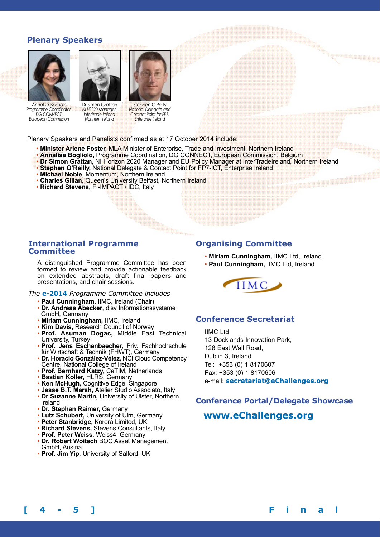### **Plenary Speakers**



*Programme Coordinator, DG CONNECT, European Commission*



Dr Simon Grattan *NI H2020 Manager, InterTrade Ireland Northern Ireland*

Stephen O'Reilly *National Delegate and Contact Point for FP7, Enterprise Ireland*

Plenary Speakers and Panelists confirmed as at 17 October 2014 include:

- **Minister Arlene Foster,** MLA Minister of Enterprise, Trade and Investment, Northern Ireland
- **Annalisa Bogliolo,** Programme Coordination, DG CONNECT, European Commission, Belgium
- **Dr Simon Grattan, NI Horizon** 2020 Manager and EU Policy Manager at InterTradeIreland, Northern Ireland
- **Stephen O'Reilly,** National Delegate & Contact Point for FP7-ICT, Enterprise Ireland
- **Michael Noble**, Momentum, Northern Ireland
- **Charles Gillan**, Queen's University Belfast, Northern Ireland
- **Richard Stevens,** FI-IMPACT / IDC, Italy

#### **International Programme Committee**

A distinguished Programme Committee has been formed to review and provide actionable feedback on extended abstracts, draft final papers and presentations, and chair sessions.

*The* **e-2014** *Programme Committee includes*

- **Paul Cunningham,** IIMC, Ireland (Chair)
- **Dr. Andreas Abecker**, disy Informationssysteme GmbH, Germany
- **Miriam Cunningham,** IIMC, Ireland
- **Kim Davis,** Research Council of Norway
- **Prof. Asuman Dogac,** Middle East Technical University, Turkey
- **Prof. Jens Eschenbaecher,** Priv. Fachhochschule für Wirtschaft & Technik (FHWT), Germany
- **Dr. Horacio González-Vélez,** NCI Cloud Competency Centre, National College of Ireland
- **Prof. Bernhard Katzy,** CeTIM, Netherlands
- **Bastian Koller,** HLRS, Germany
- **Ken McHugh,** Cognitive Edge, Singapore
- **Jesse B.T. Marsh,** Atelier Studio Associato, Italy
- **Dr Suzanne Martin,** University of Ulster, Northern Ireland
- **Dr. Stephan Raimer,** Germany
- Lutz Schubert, University of Ulm, Germany
- **Peter Stanbridge,** Korora Limited, UK
- **Richard Stevens,** Stevens Consultants, Italy
- **Prof. Peter Weiss,** Weiss4, Germany
- **Dr. Robert Woitsch** BOC Asset Management GmbH, Austria
- **Prof. Jim Yip,** University of Salford, UK

#### **Organising Committee**

- **Miriam Cunningham,** IIMC Ltd, Ireland
- **Paul Cunningham,** IIMC Ltd, Ireland



### **Conference Secretariat**

IIMC Ltd 13 Docklands Innovation Park, 128 East Wall Road, Dublin 3, Ireland Tel: +353 (0) 1 8170607 Fax: +353 (0) 1 8170606 e-mail: **secretariat@eChallenges.org**

#### **Conference Portal/Delegate Showcase**

### **www.eChallenges.org**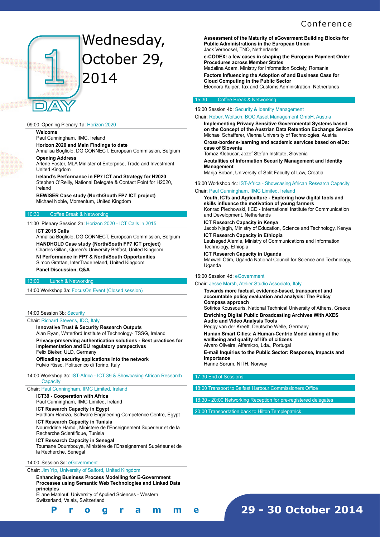#### **Conference**



# Wednesday, October 29, 2014

#### 09:00 Opening Plenary 1a: Horizon 2020

#### **Welcome**

Paul Cunningham, IIMC, Ireland

**Horizon 2020 and Main Findings to date**  Annalisa Bogliolo, DG CONNECT, European Commission, Belgium

**Opening Address** 

Arlene Foster, MLA Minister of Enterprise, Trade and Investment, United Kingdom

**Ireland's Performance in FP7 ICT and Strategy for H2020**  Stephen O'Reilly, National Delegate & Contact Point for H2020, Ireland

**BEWISER Case study (North/South FP7 ICT project)**  Michael Noble, Momentum, United Kingdom

#### Coffee Break & Networking

#### 11:00 Plenary Session 2a: Horizon 2020 - ICT Calls in 2015

#### **ICT 2015 Calls**

Annalisa Bogliolo, DG CONNECT, European Commission, Belgium **HANDHOLD Case study (North/South FP7 ICT project)**  Charles Gillan, Queen's University Belfast, United Kingdom **NI Performance in FP7 & North/South Opportunities**  Simon Grattan, InterTradeIreland, United Kingdom **Panel Discussion, Q&A** 

#### Lunch & Networking

14:00 Workshop 3a: FocusOn Event (Closed session)

#### 14:00 Session 3b: Security

#### Chair: Richard Stevens, IDC, Italy

**Innovative Trust & Security Research Outputs**  Alan Ryan, Waterford Institute of Technology- TSSG, Ireland **Privacy-preserving authentication solutions - Best practices for implementation and EU regulatory perspectives**  Felix Bieker, ULD, Germany

**Offloading security applications into the network**  Fulvio Risso, Politecnico di Torino, Italy

#### 14:00 Workshop 3c: IST-Africa - ICT 39 & Showcasing African Research **Capacity**

Chair: Paul Cunningham, IIMC Limited, Ireland

**ICT39 - Cooperation with Africa** 

Paul Cunningham, IIMC Limited, Ireland **ICT Research Capacity in Egypt** 

Haitham Hamza, Software Engineering Competence Centre, Egypt

**ICT Research Capacity in Tunisia**  Noureddine Hamdi, Ministere de l'Enseignement Superieur et de la Recherche Scientifique, Tunisia

#### **ICT Research Capacity in Senegal**

Toumane Doumbouya, Ministère de l'Enseignement Supérieur et de la Recherche, Senegal

#### 14:00 Session 3d: eGovernment

**[ 4 - 5 ] F i n a l P r o g r a m m e**

#### Chair: Jim Yip, University of Salford, United Kingdom

**Enhancing Business Process Modelling for E-Government Processes using Semantic Web Technologies and Linked Data principles** 

Eliane Maalouf, University of Applied Sciences - Western Switzerland, Valais, Switzerland

**Assessment of the Maturity of eGoverment Building Blocks for Public Administrations in the European Union**  Jack Verhoosel, TNO, Netherlands

**e-CODEX: a few cases in shaping the European Payment Order Procedures across Member States** 

Madalina Adam, Ministry for Information Society, Romania **Factors Influencing the Adoption of and Business Case for** 

**Cloud Computing in the Public Sector**  Eleonora Kuiper, Tax and Customs Administration, Netherlands

#### Coffee Break & Networking

16:00 Session 4b: Security & Identity Management

#### Chair: Robert Woitsch, BOC Asset Management GmbH, Austria

**Implementing Privacy Sensitive Governmental Systems based on the Concept of the Austrian Data Retention Exchange Service**  Michael Schafferer, Vienna University of Technologies, Austria **Cross-border e-learning and academic services based on eIDs: case of Slovenia** 

Tomaz Klobucar, Jozef Stefan Institute, Slovenia

**Acutalities of Information Security Management and Identity Management** 

Marija Boban, University of Split Faculty of Law, Croatia

16:00 Workshop 4c: IST-Africa - Showcasing African Research Capacity Chair: Paul Cunningham, IIMC Limited, Ireland

**Youth, ICTs and Agriculture - Exploring how digital tools and skills influence the motivation of young farmers**  Konrad Plechowski, IICD - International Institute for Communication and Development, Netherlands

#### **ICT Research Capacity in Kenya**

Jacob Njagih, Ministry of Education, Science and Technology, Kenya **ICT Research Capacity in Ethiopia** 

Leulseged Alemie, Ministry of Communications and Information Technology, Ethiopia

#### **ICT Research Capacity in Uganda**

Maxwell Otim, Uganda National Council for Science and Technology, Uganda

#### 16:00 Session 4d: eGovernment

#### Chair: Jesse Marsh, Atelier Studio Associato, Italy

**Towards more factual, evidence-based, transparent and accountable policy evaluation and analysis: The Policy Compass approach**  Sotirios Koussouris, National Technical University of Athens, Greece **Enriching Digital Public Broadcasting Archives With AXES Audio and Video Analysis Tools**  Peggy van der Kreeft, Deutsche Welle, Germany **Human Smart Cities: A Human-Centric Model aiming at the wellbeing and quality of life of citizens**  Alvaro Oliveira, Alfamicro, Lda., Portugal **E-mail Inquiries to the Public Sector: Response, Impacts and Importance** 

Hanne Sørum, NITH, Norway

#### 17:30 End of Sessions

- Transport to Belfast Harbour Commissioners Offic
- 18:30 20:00 Networking Reception for pre-registered delegates

**29 - 30 October 2014**

20:00 Transportation back to Hilton Templepatric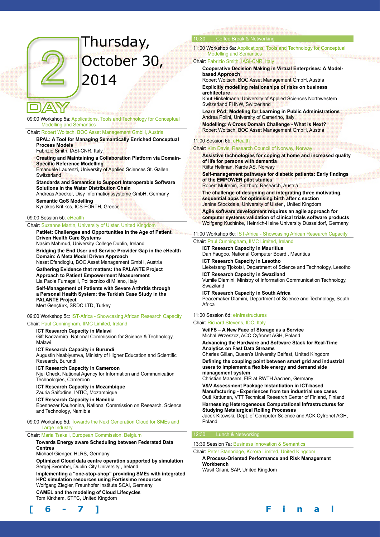# Thursday, October 30, 2014

09:00 Workshop 5a: Applications, Tools and Technology for Conceptual Modelling and Semantics

#### Chair: Robert Woitsch, BOC Asset Management GmbH, Austria

**BPAL: A Tool for Managing Semantically Enriched Conceptual Process Models** 

#### Fabrizio Smith, IASI-CNR, Italy

**Creating and Maintaining a Collaboration Platform via Domain-Specific Reference Modelling**

Emanuele Laurenzi, University of Applied Sciences St. Gallen, **Switzerland** 

**Standards and Semantics to Support Interoperable Software Solutions in the Water Distribution Chain** 

Andreas Abecker, Disy Informationssysteme GmbH, Germany **Semantic QoS Modelling** 

Kyriakos Kritikos, ICS-FORTH, Greece

#### 09:00 Session 5b: eHealth

#### Chair: Suzanne Martin, University of Ulster, United Kingdom

**PatNet: Challenges and Opportunities in the Age of Patient Driven Health Care Systems** 

Nasim Mahmud, University College Dublin, Ireland

**Bridging the End User and Service Provider Gap in the eHealth Domain: A Meta Model Driven Approach** 

Nesat Efendioglu, BOC Asset Management GmbH, Austria **Gathering Evidence that matters: the PALANTE Project Approach to Patient Empowerment Measurement**  Lia Paola Fumagalli, Politecnico di Milano, Italy

**Self-Management of Patients with Severe Arthritis through a Personal Health System: the Turkish Case Study in the PALANTE Project**  Mert Gençtürk, SRDC LTD, Turkey

#### 09:00 Workshop 5c: IST-Africa - Showcasing African Research Capacity

Chair: Paul Cunningham, IIMC Limited, Ireland

#### **ICT Research Capacity in Malawi**

Gift Kadzamira, National Commission for Science & Technology, Malawi

**ICT Research Capacity in Burundi** 

Augustin Nsabiyumva, Ministry of Higher Education and Scientific Research, Burundi

#### **ICT Research Capacity in Cameroon**

Njei Check, National Agency for Information and Communication Technologies, Cameroon

#### **ICT Research Capacity in Mozambique**  Zauria Saifodine, INTIC, Mozambique

**ICT Research Capacity in Namibia**  Ebenhezer Kauhonina, National Commission on Research, Science and Technology, Namibia

09:00 Workshop 5d: Towards the Next Generation Cloud for SMEs and Large Industry

Chair: Maria Tsakali, European Commission, Belgium

#### **Towards Energy aware Scheduling between Federated Data Centres**

#### Michael Gienger, HLRS, Germany

**Optimized Cloud data centre operation supported by simulation**  Sergej Svorobej, Dublin City University , Ireland

**Implementing a "one-stop-shop" providing SMEs with integrated HPC simulation resources using Fortissimo resources**  Wolfgang Ziegler, Fraunhofer Institute SCAI, Germany

**CAMEL and the modeling of Cloud Lifecycles**  Tom Kirkham, STFC, United Kingdom



#### 10:30 Coffee Break & Networking

11:00 Workshop 6a: Applications, Tools and Technology for Conceptual Modelling and Semantics

#### Chair: Fabrizio Smith, IASI-CNR, Italy

**Cooperative Decision Making in Virtual Enterprises: A Modelbased Approach** 

Robert Woitsch, BOC Asset Management GmbH, Austria **Explicitly modelling relationships of risks on business architecture** 

Knut Hinkelmann, University of Applied Sciences Northwestern Switzerland FHNW, Switzerland

**Learn PAd: Modeling for Learning in Public Administrations**  Andrea Polini, University of Camerino, Italy

**Modelling: A Cross Domain Challenge - What is Next?**  Robert Woitsch, BOC Asset Management GmbH, Austria

#### 11:00 Session 6b: eHealth

#### Chair: Kim Davis, Research Council of Norway, Norway

**Assistive technologies for coping at home and increased quality of life for persons with dementia**  Riitta Hellman, Karde AS, Norway

**Self-management pathways for diabetic patients: Early findings of the EMPOWER pilot studies**  Robert Mulrenin, Salzburg Research, Austria

**The challenge of designing and integrating three motivating, sequential apps for optimising birth after c section**  Janine Stockdale, University of Ulster , United Kingdom

**Agile software development requires an agile approach for computer systems validation of clinical trials software products**  Wolfgang Kuchinke, Heinrich-Heine University Düsseldorf, Germany

#### 11:00 Workshop 6c: IST-Africa - Showcasing African Research Capacity

#### Chair: Paul Cunningham, IIMC Limited, Ireland

**ICT Research Capacity in Mauritius**  Dan Faugoo, National Computer Board , Mauritius

**ICT Research Capacity in Lesotho**  Lieketseng Tjokotsi, Department of Science and Technology, Lesotho

**ICT Research Capacity in Swaziland** 

Vumile Dlamini, Ministry of Information Communication Technology, Swaziland

**ICT Research Capacity in South Africa**  Peacemaker Dlamini, Department of Science and Technology, South Africa

#### 11:00 Session 6d: eInfrastructures

#### Chair: Richard Stevens, IDC, Italy

**VeilFS – A New Face of Storage as a Service**  Michal Wrzeszcz, ACC Cyfronet AGH, Poland

**Advancing the Hardware and Software Stack for Real-Time Analytics on Fast Data Streams** 

Charles Gillan, Queen's University Belfast, United Kingdom **Defining the coupling point between smart grid and industrial users to implement a flexible energy and demand side management system** 

Christian Maasem, FIR at RWTH Aachen, Germany

**V&V Assessment Package Instantiation in ICT-based Manufacturing - Experiences from ten industrial use cases**  Outi Kettunen, VTT Technical Research Center of Finland, Finland

**Harnessing Heterogeneous Computational Infrastructures for Studying Metalurgical Rolling Processes**  Jacek Kitowski, Dept. of Computer Science and ACK Cyfronet AGH, Poland

13:30 Session 7a: Business Innovation & Semantics

#### Chair: Peter Stanbridge, Korora Limited, United Kingdom

**A Process-Oriented Performance and Risk Management Workbench**  Wasif Gilani, SAP, United Kingdom

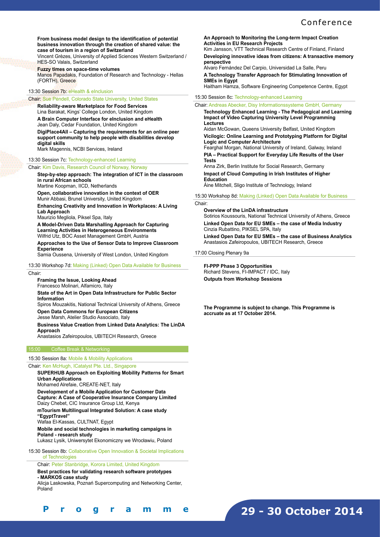#### Conference

**From business model design to the identification of potential business innovation through the creation of shared value: the case of tourism in a region of Switzerland** 

Vincent Grèzes, University of Applied Sciences Western Switzerland / HES-SO Valais, Switzerland

**Fuzzy times on space-time volumes**

Manos Papadakis, Foundation of Research and Technology - Hellas (FORTH), Greece

#### 13:30 Session 7b: eHealth & eInclusion

Chair: Sue Pendell, Colorado State University, United States **Reliability-aware Marketplace for Food Services** 

Lina Barakat, Kings' College London, United Kingdom

**A Brain Computer Interface for eInclusion and eHealth** 

Jean Daly, Cedar Foundation, United Kingdom

**DigiPlace4All – Capturing the requirements for an online peer support community to help people with disabilities develop digital skills** 

Mark Magennis, NCBI Services, Ireland

#### 13:30 Session 7c: Technology-enhanced Learning

#### Chair: Kim Davis, Research Council of Norway, Norway

**Step-by-step approach: The integration of ICT in the classroom in rural African schools** 

Martine Koopman, IICD, Netherlands

**Open, collaborative innovation in the context of OER**  Munir Abbasi, Brunel University, United Kingdom

**Enhancing Creativity and Innovation in Workplaces: A Living Lab Approach** 

Maurizio Megliola, Piksel Spa, Italy

**A Model-Driven Data Marshalling Approach for Capturing Learning Activities in Heterogeneous Environments**  Wilfrid Utz, BOC Asset Management GmbH, Austria

**Approaches to the Use of Sensor Data to Improve Classroom Experience** 

Samia Oussena, University of West London, United Kingdom

13:30 Workshop 7d: Making (Linked) Open Data Available for Business

Chair:

**[ 6 - 7 ] F i n a l P r o g r a m m e**

**Framing the Issue, Looking Ahead** 

Francesco Molinari, Alfamicro, Italy

**State of the Art in Open Data Infrastructure for Public Sector Information** 

Spiros Mouzakitis, National Technical University of Athens, Greece **Open Data Commons for European Citizens** 

Jesse Marsh, Atelier Studio Associato, Italy

**Business Value Creation from Linked Data Analytics: The LinDA Approach** 

Anastasios Zafeiropoulos, UBITECH Research, Greece

#### 15:00 Coffee Break & Networking

#### 15:30 Session 8a: Mobile & Mobility Applications

Chair: Ken McHugh, ICatalyst Pte. Ltd., Singapore

**SUPERHUB Approach on Exploiting Mobility Patterns for Smart Urban Applications** 

Mohamed Alrefaie, CREATE-NET, Italy

**Development of a Mobile Application for Customer Data Capture: A Case of Cooperative Insurance Company Limited**  Daizy Chebet, CIC Insurance Group Ltd, Kenya

**mTourism Multilingual Integrated Solution: A case study "EgyptTravel"** 

Wafaa El-Kassas, CULTNAT, Egypt

**Mobile and social technologies in marketing campaigns in Poland - research study** 

Lukasz Lysik, Uniwersytet Ekonomiczny we Wrocławiu, Poland

15:30 Session 8b: Collaborative Open Innovation & Societal Implications of Technologies

Chair: Peter Stanbridge, Korora Limited, United Kingdom

#### **Best practices for validating research software prototypes - MARKOS case study**

Alicja Laskowska, Poznań Supercomputing and Networking Center, Poland

**An Approach to Monitoring the Long-term Impact Creation Activities in EU Research Projects**

Kim Jansson, VTT Technical Research Centre of Finland, Finland **Developing innovative ideas from citizens: A transactive memory perspective**

Alvaro Fernández Del Carpio, Universidad La Salle, Peru

**A Technology Transfer Approach for Stimulating Innovation of SMEs in Egypt** Haitham Hamza, Software Engineering Competence Centre, Egypt

15:30 Session 8c: Technology-enhanced Learning

Chair: Andreas Abecker, Disy Informationssysteme GmbH, Germany

**Technology Enhanced Learning - The Pedagogical and Learning Impact of Video Capturing University Level Programming Lectures** 

Aidan McGowan, Queens University Belfast, United Kingdom **Vicilogic: Online Learning and Prototyping Platform for Digital Logic and Computer Architecture** 

Fearghal Morgan, National University of Ireland, Galway, Ireland **PIA – Practical Support for Everyday Life Results of the User Tests** 

Anna Zirk, Berlin Institute for Social Research, Germany **Impact of Cloud Computing in Irish Institutes of Higher Education** 

Áine Mitchell, Sligo Institute of Technology, Ireland

15:30 Workshop 8d: Making (Linked) Open Data Available for Business

Chair:

**Overview of the LinDA infrastructure**  Sotirios Koussouris, National Technical University of Athens, Greece **Linked Open Data for EU SMEs – the case of Media Industry**  Cinzia Rubattino, PIKSEL SPA, Italy

**Linked Open Data for EU SMEs – the case of Business Analytics**  Anastasios Zafeiropoulos, UBITECH Research, Greece

17:00 Closing Plenary 9a

**FI-PPP Phase 3 Opportunities**  Richard Stevens, FI-IMPACT / IDC, Italy **Outputs from Workshop Sessions** 

**The Programme is subject to change. This Programme is accruate as at 17 October 2014.**

### **29 - 30 October 2014**